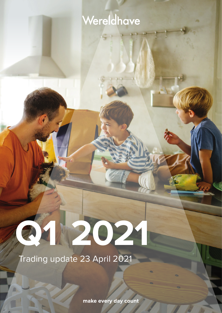## Wereldhave

# **Q1 2021**

Trading update 23 April 2021

make every day count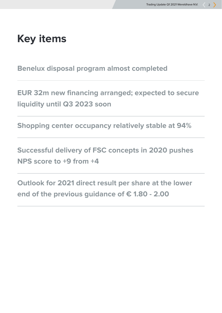## **Key items**

**Benelux disposal program almost completed**

**EUR 32m new financing arranged; expected to secure liquidity until Q3 2023 soon**

**Shopping center occupancy relatively stable at 94%**

**Successful delivery of FSC concepts in 2020 pushes NPS score to +9 from +4**

**Outlook for 2021 direct result per share at the lower end of the previous guidance of € 1.80 - 2.00**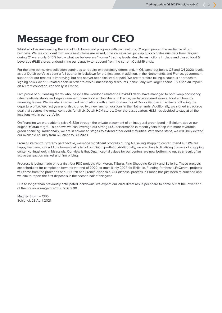## **Message from our CEO**

Whilst all of us are awaiting the end of lockdowns and progress with vaccinations, Q1 again proved the resilience of our business. We are confident that, once restrictions are eased, physical retail will pick up quickly. Sales numbers from Belgium during Q1 were only 5-10% below what we believe are "normal" trading levels, despite restrictions in place and closed food & beverage (F&B) stores, underpinning our capacity to rebound from the current Covid-19 crisis.

For the time being, rent collection continues to require extraordinary efforts and, in Q1, came out below Q3 and Q4 2020 levels, as our Dutch portfolio spent a full quarter in lockdown for the first time. In addition, in the Netherlands and France, government support for our tenants is improving, but has not yet been finalized or paid. We are therefore taking a cautious approach to signing new Covid-19 related deals in order to avoid unnecessary discounts, particularly with larger chains. This had an impact on Q1 rent collection, especially in France.

I am proud of our leasing teams who, despite the workload related to Covid-19 deals, have managed to both keep occupancy rates relatively stable and sign a number of new food anchor deals. In France, we have secured several food anchors by renewing leases. We are also in advanced negotiations with a new food anchor at Docks Vauban in Le Havre following the departure of Leclerc last year and also signed two new anchor locations in the Netherlands. Additionally, we signed a package deal that secures the rental contracts for all six Dutch H&M stores. Over the past quarters H&M has decided to stay at all the locations within our portfolio.

On financing we were able to raise € 32m through the private placement of an inaugural green bond in Belgium, above our original € 30m target. This shows we can leverage our strong ESG performance in recent years to tap into more favorable green financing. Additionally, we are in advanced stages to extend other debt maturities. With these steps, we will likely extend our available liquidity from Q3 2022 to Q3 2023.

From a LifeCentral strategy perspective, we made significant progress during Q1, selling shopping center Etten-Leur. We are happy we have now sold the lower-quality tail of our Dutch portfolio. Additionally, we are close to finalising the sale of shopping center Koningshoek in Maassluis. Our view is that Dutch capital values for our centers are now bottoming out as a result of an active transaction market and firm pricing.

Progress is being made on our first four FSC projects Vier Meren, Tilburg, Ring Shopping Kortrijk and Belle-Île. These projects are scheduled for completion towards the end of 2022, or most likely 2023 for Belle-île. Funding for these LifeCentral projects will come from the proceeds of our Dutch and French disposals. Our disposal process in France has just been relaunched and we aim to report the first disposals in the second half of this year.

Due to longer than previously anticipated lockdowns, we expect our 2021 direct result per share to come out at the lower end of the previous range of  $\epsilon$  1.80 to  $\epsilon$  2.00.

Matthijs Storm – CEO Schiphol, 23 April 2021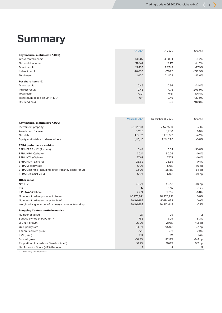## **Summary**

| Key financial metrics ( $x \in 1,000$ )<br>43,507<br>49,004<br>Gross rental income<br>$-11.2\%$<br>31,044<br>39,411<br>$-21.2%$<br>Net rental income<br>29,748<br>$-27.9%$<br>21,438<br>Direct result<br>$-152.9%$<br>$-20,038$<br>$-7,925$<br>Indirect result<br>1,400<br>21,823<br>$-93.6%$<br>Total result |                              | Q1 2021 | Q1 20 20 | Change |
|---------------------------------------------------------------------------------------------------------------------------------------------------------------------------------------------------------------------------------------------------------------------------------------------------------------|------------------------------|---------|----------|--------|
|                                                                                                                                                                                                                                                                                                               |                              |         |          |        |
|                                                                                                                                                                                                                                                                                                               |                              |         |          |        |
|                                                                                                                                                                                                                                                                                                               |                              |         |          |        |
|                                                                                                                                                                                                                                                                                                               |                              |         |          |        |
|                                                                                                                                                                                                                                                                                                               |                              |         |          |        |
|                                                                                                                                                                                                                                                                                                               |                              |         |          |        |
|                                                                                                                                                                                                                                                                                                               | Per share items $(\epsilon)$ |         |          |        |
| 0.45<br>0.66<br>$-31.4%$<br>Direct result                                                                                                                                                                                                                                                                     |                              |         |          |        |
| $-0.46$<br>$-206.9%$<br>$-0.15$<br>Indirect result                                                                                                                                                                                                                                                            |                              |         |          |        |
| $-0.01$<br>101.4%<br>0.51<br>Total result                                                                                                                                                                                                                                                                     |                              |         |          |        |
| 123.9%<br>0.46<br>Total return based on EPRA NTA<br>$-0.11$                                                                                                                                                                                                                                                   |                              |         |          |        |
| 0.63<br>$-100.0%$<br>Dividend paid<br>$\overline{\phantom{a}}$                                                                                                                                                                                                                                                |                              |         |          |        |

|                                                         | March 31, 2021 | December 31, 2020 | Change     |
|---------------------------------------------------------|----------------|-------------------|------------|
| Key financial metrics ( $x \in 1,000$ )                 |                |                   |            |
| Investment property                                     | 2,522,234      | 2,577,580         | $-2.1%$    |
| Assets held for sale                                    | 3,200          | 3,200             | 0.0%       |
| Net debt                                                | 1,135,511      | 1,185,779         | $-4.2%$    |
| Equity attributable to shareholders                     | 1,115,115      | 1,124,296         | $-0.8%$    |
| <b>EPRA performance metrics</b>                         |                |                   |            |
| EPRA EPS for Q1 (€/share)                               | 0.44           | 0.64              | $-30.8%$   |
| EPRA NRV (€/share)                                      | 30.14          | 30.26             | $-0.4%$    |
| EPRA NTA (€/share)                                      | 27.63          | 27.74             | $-0.4%$    |
| EPRA NDV (€/share)                                      | 26.69          | 26.59             | 0.4%       |
| <b>EPRA Vacancy rate</b>                                | 6.9%           | 5.9%              | $1.0$ pp   |
| EPRA Cost ratio (including direct vacancy costs) for Q1 | 33.9%          | 25.8%             | 8.1 pp     |
| <b>EPRA Net Initial Yield</b>                           | 5.9%           | 6.0%              | $-0.1$ pp  |
| <b>Other ratios</b>                                     |                |                   |            |
| Net LTV                                                 | 45.7%          | 46.7%             | $-1.0$ pp  |
| <b>ICR</b>                                              | 5.1x           | 5.3x              | $-0.2x$    |
| IFRS NAV (€/share)                                      | 27.74          | 27.97             | $-0.8%$    |
| Number of ordinary shares in issue                      | 40,270,921     | 40,270,921        | 0.0%       |
| Number of ordinary shares for NAV                       | 40,191,662     | 40,191,662        | 0.0%       |
| Weighted avg. number of ordinary shares outstanding     | 40,191,662     | 40,212,448        | $-0.1%$    |
| <b>Shopping Centers portfolio metrics</b>               |                |                   |            |
| Number of assets                                        | 27             | 29                | $-2$       |
| Surface owned (x 1,000m <sup>2</sup> ) <sup>1</sup>     | 766            | 809               | $-5.3%$    |
| LFL NRI growth                                          | $-25.2%$       | $-21.0%$          | $-4.2$ pp  |
| Occupancy rate                                          | 94.3%          | 95.0%             | $-0.7$ pp  |
| Theoretical rent ( $\epsilon/m^2$ )                     | 223            | 221               | 0.9%       |
| ERV ( $\varepsilon$ /m <sup>2</sup> )                   | 214            | 211               | 1.4%       |
| Footfall growth                                         | $-36.9%$       | $-22.8%$          | $-14.1$ pp |
| Proportion of mixed-use Benelux (in m <sup>2</sup> )    | 10.2%          | 10.0%             | $0.2$ pp   |
| Net Promotor Score (NPS) Benelux                        | 9              | 4                 | 5          |

1 Excluding developments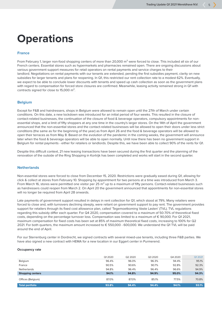## **Operations**

#### **France**

From February 1, larger non-food shopping centers of more than 20,000 m<sup>2</sup> were forced to close. This included all six of our French centers. Essential stores such as hypermarkets and pharmacies remained open. There are ongoing discussions about various government support measures for retail operators on rental payments and service charges to their landlord. Negotiations on rental payments with our tenants are extended, pending the first subsidies payment, clarity on new subsidies for larger tenants and plans for reopening. In Q1, this restricted our rent collection rate to a modest 62%. Eventually, we expect to be able to conclude lower discounts with tenants and speed up cash collection as soon as the government plans with regard to compensation for forced store closures are confirmed. Meanwhile, leasing activity remained strong in Q1 with contracts signed for close to 15,000 m².

#### **Belgium**

Except for F&B and hairdressers, shops in Belgium were allowed to remain open until the 27th of March under certain conditions. On this date, a new lockdown was introduced for an initial period of four weeks. This resulted in the closure of contact-related businesses, the continuation of the closure of food & beverage operators, compulsory appointments for nonessential shops, and a limit of fifty shoppers at any one time in the country's larger stores. On the 14th of April the government announced that the non-essential stores and the contact-related businesses will be allowed to open their doors under less strict conditions (the same as for the beginning of the year) as from April 26 and the food & beverage operators will be allowed to open their terraces as from May 8. Based on the evolution of the pandemic in the coming weeks, the government will announce later when the food & beverage operators will be able to open normally. Until now there has been no government support in Belgium for rental payments - either for retailers or landlords. Despite this, we have been able to collect 90% of the rents for Q1.

Despite this difficult context, 21 new leasing transactions have been secured during the first quarter and the planning of the renovation of the outside of the Ring Shopping in Kortrijk has been completed and works will start in the second quarter.

#### **Netherlands**

Non-essential stores were forced to close from December 15, 2020. Restrictions were gradually eased during Q1, allowing for click & collect at stores from February 10. Shopping by appointment for two persons at a time was introduced from March 3. From March 16, stores were permitted one visitor per 25  $m<sup>2</sup>$  up to a maximum of fifty persons. Contact-related businesses such as hairdressers could reopen from March 2. On April 20 the government announced that appointments for non-essential stores will no longer be required from April 28 onwards.

Late payments of government support resulted in delays in rent collection for Q1, which stood at 79%. Many retailers were forced to close and, with turnovers declining steeply, were reliant on government support to pay rent. The government provides support for retailers through its fixed cost allowance plan, called 'Tegemoetkoming Vaste Lasten' (TVL). TVL regulations regarding this subsidy differ each quarter. For Q4 2020, compensation covered to a maximum of 50-70% of theoretical fixed costs, depending on the percentage turnover loss. Compensation was limited to a maximum of € 90,000. For Q1 2021, maximum compensation for fixed costs has been set at 85% of maximum theoretical fixed costs, increasing to 100% for Q2 2021. For both quarters, the maximum amount increased to € 550,000 - 600,000. We understand the Q1 TVL will be paid around the end of April.

For our Sterrenburg center in Dordrecht, we signed contracts with several mixed-use tenants, including three F&B parties. We have also signed a new contract with HEMA for a new location in our Eggert center in Purmerend.

#### **Occupancy rate**

|                         | Q12020 | Q2 2020 | Q3 2020 | Q4 2020 | Q1 2021 |
|-------------------------|--------|---------|---------|---------|---------|
| Belgium                 | 96.4%  | 96.0%   | 96.3%   | 94.4%   | 95.1%   |
| France                  | 90.5%  | 90.6%   | 90.7%   | 92.8%   | 92.3%   |
| <b>Netherlands</b>      | 94.8%  | 96.4%   | 96.4%   | 96.6%   | 94.9%   |
| <b>Shopping centers</b> | 94.1%  | 94.8%   | 94.9%   | 95.0%   | 94.3%   |
| Offices (Belgium)       | 87.0%  | 87.0%   | 85.1%   | 77.5%   | 70.8%   |
| <b>Total portfolio</b>  | 93.8%  | 94.4%   | 94.4%   | 94.1%   | 93.1%   |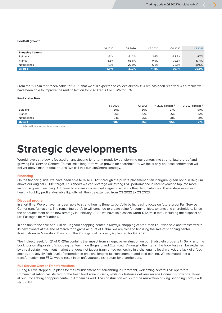#### **Footfall growth**

|                         | Q12020   | Q2 2020  | Q3 2020  | Q4 2020  | Q1 2021  |
|-------------------------|----------|----------|----------|----------|----------|
| <b>Shopping Centers</b> |          |          |          |          |          |
| Belgium                 | $-7.1%$  | $-51.3%$ | $-13.6%$ | $-38.5%$ | $-14.7%$ |
| France                  | $-18.5%$ | $-56.8%$ | $-19.9%$ | -39.3%   | $-43.4%$ |
| Netherlands             | $-4.3%$  | $-22.9%$ | $-6.8%$  | $-22.5%$ | $-39.6%$ |
| <b>Overall</b>          | $-12.1%$ | $-37.3%$ | $-11.8%$ | $-30.4%$ | $-36.9%$ |

From the € 4.9m rent receiveable for 2020 that we still expected to collect, already € 4.4m has been received. As a result, we have been able to improve the rent collection for 2020 rents from 94% to 95%.

#### **Rent collection**

|                | FY 2020 | Q1 2021 | FY 2020 adiusted <sup>1</sup> | $Q1$ 2021 adjusted $\sqrt[1]{ }$ |
|----------------|---------|---------|-------------------------------|----------------------------------|
| Belgium        | 89%     | 86%     | 97%                           | 90%                              |
| France         | 85%     | 62%     | 86%                           | 62%                              |
| Netherlands    | 94%     | 75%     | 98%                           | 79%                              |
| <b>Overall</b> | 90%     | 75%     | 95%                           | 77%                              |

1 Adjusted for arrangements such as discounts

## **Strategic developments**

Wereldhave's strategy is focused on anticipating long-term trends by transforming our centers into strong, future-proof and growing Full Service Centers. To maximize long-term value growth for shareholders, we focus only on those centers that will deliver above market total returns. We call this our LifeCentral strategy.

#### **Financing**

On the financing side, we have been able to raise € 32m through the private placement of an inaugural green bond in Belgium, above our original € 30m target. This shows we can leverage our strong ESG performance in recent years to tap into more favorable green financing. Additionally, we are in advanced stages to extend other debt maturities. These steps result in a healthy liquidity profile. Available liquidity will then be extended from Q3 2022 to Q3 2023.

#### **Disposal program**

In short time, Wereldhave has been able to strengthen its Benelux portfolio by increasing focus on future-proof Full Service Center transformations. The remaining portfolio will continue to create value for communities, tenants and shareholders. Since the announcement of the new strategy in February 2020, we have sold assets worth € 127m in total, including the disposal of Les Passages de Mériadeck.

In addition to the sale of our In de Bogaard shopping center in Rijswijk, shopping center Etten-Leur was sold and transferred to its new owners at the end of March for a gross amount of € 18m. We are close to finalizing the sale of shopping center Koningshoek in Maassluis. Transfer of the Koningshoek property is planned for Q2 2021.

The indirect result for Q1 of € -20m contains the impact from a negative revaluation on our Stadsplein property in Genk, and the book loss on disposals of shopping centers In de Bogaard and Etten-Leur. Amongst other items, the book loss can be explained by a real estate investment market that does not favour fragmented ownership in a challenging local market, the lack of a food anchor, a relatively high level of dependence on a challenging fashion segment and paid parking. We estimated that a transformation into FSCs would result in an unfavourable risk-return for shareholders.

#### **Full Service Center Transformations**

During Q1, we stepped up plans for the refurbishment of Sterrenburg in Dordrecht, welcoming several F&B operators. Commercialization has started for the fresh food zone in Genk, while our last-mile delivery service Connect is now operational at our Kronenburg shopping center in Arnhem as well. The construction works for the renovation of Ring Shopping Kortrijk will start in Q2.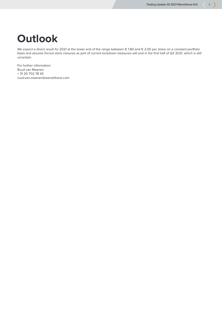## **Outlook**

We expect a direct result for 2021 at the lower end of the range between € 1.80 and € 2.00 per share on a constant portfolio basis and assume forced store closures as part of current lockdown measures will end in the first half of Q2 2021, which is still uncertain.

For further information: Ruud van Maanen + 31 20 702 78 43 ruud.van.maanen@wereldhave.com